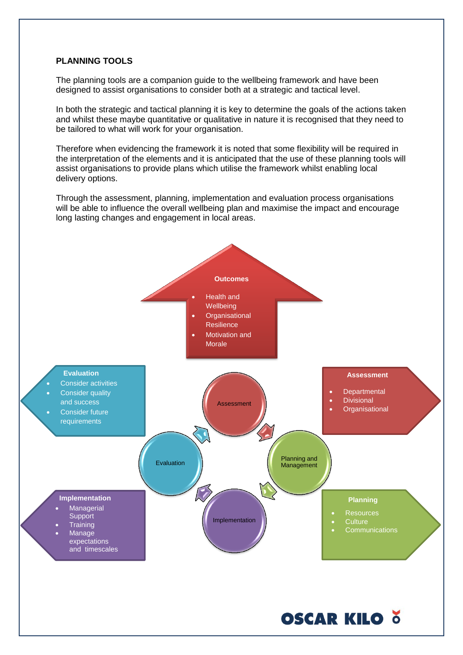#### **PLANNING TOOLS**

The planning tools are a companion guide to the wellbeing framework and have been designed to assist organisations to consider both at a strategic and tactical level.

In both the strategic and tactical planning it is key to determine the goals of the actions taken and whilst these maybe quantitative or qualitative in nature it is recognised that they need to be tailored to what will work for your organisation.

Therefore when evidencing the framework it is noted that some flexibility will be required in the interpretation of the elements and it is anticipated that the use of these planning tools will assist organisations to provide plans which utilise the framework whilst enabling local delivery options.

Through the assessment, planning, implementation and evaluation process organisations will be able to influence the overall wellbeing plan and maximise the impact and encourage long lasting changes and engagement in local areas.

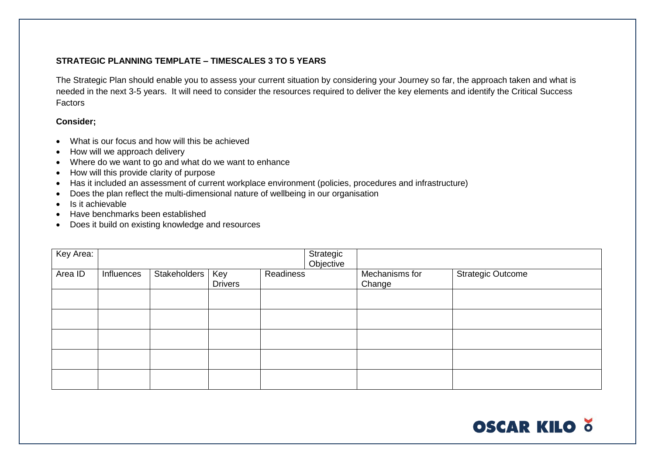# **STRATEGIC PLANNING TEMPLATE – TIMESCALES 3 TO 5 YEARS**

The Strategic Plan should enable you to assess your current situation by considering your Journey so far, the approach taken and what is needed in the next 3-5 years. It will need to consider the resources required to deliver the key elements and identify the Critical Success Factors

### **Consider;**

- What is our focus and how will this be achieved
- How will we approach delivery
- Where do we want to go and what do we want to enhance
- How will this provide clarity of purpose
- Has it included an assessment of current workplace environment (policies, procedures and infrastructure)
- Does the plan reflect the multi-dimensional nature of wellbeing in our organisation
- Is it achievable
- Have benchmarks been established
- Does it build on existing knowledge and resources

| Key Area: |            |              |                       |           | Strategic<br>Objective |                          |                          |
|-----------|------------|--------------|-----------------------|-----------|------------------------|--------------------------|--------------------------|
| Area ID   | Influences | Stakeholders | Key<br><b>Drivers</b> | Readiness |                        | Mechanisms for<br>Change | <b>Strategic Outcome</b> |
|           |            |              |                       |           |                        |                          |                          |
|           |            |              |                       |           |                        |                          |                          |
|           |            |              |                       |           |                        |                          |                          |
|           |            |              |                       |           |                        |                          |                          |
|           |            |              |                       |           |                        |                          |                          |